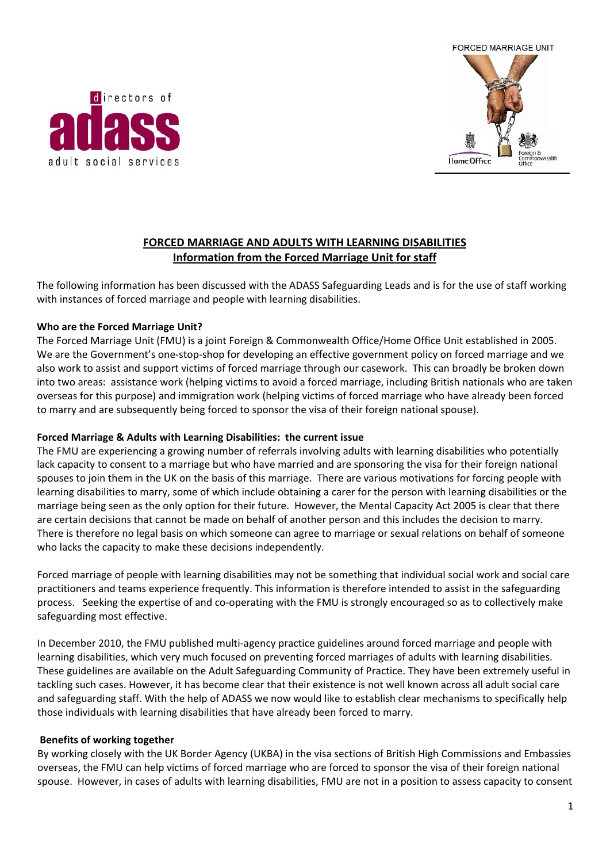



# **FORCED MARRIAGE AND ADULTS WITH LEARNING DISABILITIES Information from the Forced Marriage Unit for staff**

The following information has been discussed with the ADASS Safeguarding Leads and is for the use of staff working with instances of forced marriage and people with learning disabilities.

### **Who are the Forced Marriage Unit?**

The Forced Marriage Unit (FMU) is a joint Foreign & Commonwealth Office/Home Office Unit established in 2005. We are the Government's one-stop-shop for developing an effective government policy on forced marriage and we also work to assist and support victims of forced marriage through our casework. This can broadly be broken down into two areas: assistance work (helping victims to avoid a forced marriage, including British nationals who are taken overseas for this purpose) and immigration work (helping victims of forced marriage who have already been forced to marry and are subsequently being forced to sponsor the visa of their foreign national spouse).

#### **Forced Marriage & Adults with Learning Disabilities: the current issue**

The FMU are experiencing a growing number of referrals involving adults with learning disabilities who potentially lack capacity to consent to a marriage but who have married and are sponsoring the visa for their foreign national spouses to join them in the UK on the basis of this marriage. There are various motivations for forcing people with learning disabilities to marry, some of which include obtaining a carer for the person with learning disabilities or the marriage being seen as the only option for their future. However, the Mental Capacity Act 2005 is clear that there are certain decisions that cannot be made on behalf of another person and this includes the decision to marry. There is therefore no legal basis on which someone can agree to marriage or sexual relations on behalf of someone who lacks the capacity to make these decisions independently.

Forced marriage of people with learning disabilities may not be something that individual social work and social care practitioners and teams experience frequently. This information is therefore intended to assist in the safeguarding process. Seeking the expertise of and co-operating with the FMU is strongly encouraged so as to collectively make safeguarding most effective.

In December 2010, the FMU published multi-agency practice guidelines around forced marriage and people with learning disabilities, which very much focused on preventing forced marriages of adults with learning disabilities. These guidelines are available on the Adult Safeguarding Community of Practice. They have been extremely useful in tackling such cases. However, it has become clear that their existence is not well known across all adult social care and safeguarding staff. With the help of ADASS we now would like to establish clear mechanisms to specifically help those individuals with learning disabilities that have already been forced to marry.

#### **Benefits of working together**

By working closely with the UK Border Agency (UKBA) in the visa sections of British High Commissions and Embassies overseas, the FMU can help victims of forced marriage who are forced to sponsor the visa of their foreign national spouse. However, in cases of adults with learning disabilities, FMU are not in a position to assess capacity to consent